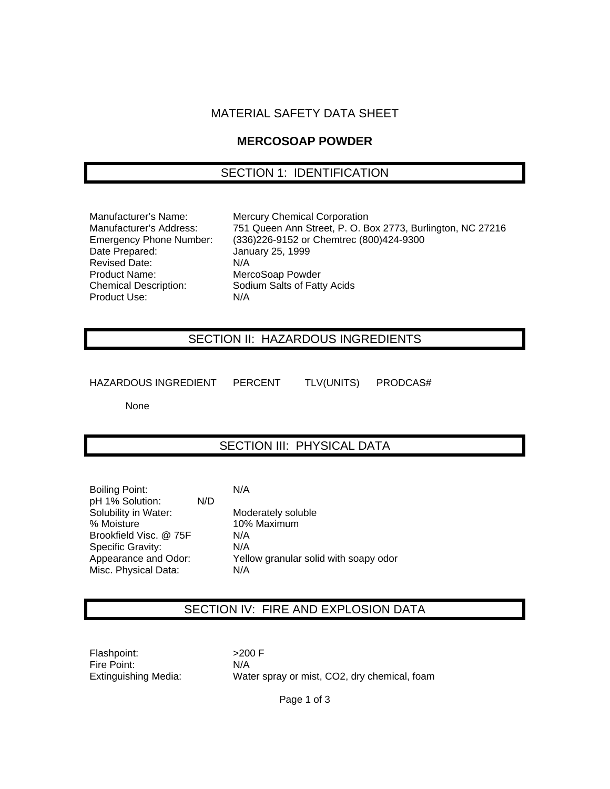#### MATERIAL SAFETY DATA SHEET

#### **MERCOSOAP POWDER**

### SECTION 1: IDENTIFICATION

Date Prepared: January 25, 1999 Revised Date: N/A Product Name: MercoSoap Powder<br>
Chemical Description: Sodium Salts of Fatt Product Use: N/A

Manufacturer's Name: Mercury Chemical Corporation Manufacturer's Address: 751 Queen Ann Street, P. O. Box 2773, Burlington, NC 27216 Emergency Phone Number: (336)226-9152 or Chemtrec (800)424-9300 Sodium Salts of Fatty Acids

## SECTION II: HAZARDOUS INGREDIENTS

HAZARDOUS INGREDIENT PERCENT TLV(UNITS) PRODCAS#

None

### SECTION III: PHYSICAL DATA

| <b>Boiling Point:</b>  |     | N/A  |
|------------------------|-----|------|
| pH 1% Solution:        | N/D |      |
| Solubility in Water:   |     | Moc  |
| % Moisture             |     | 10%  |
| Brookfield Visc. @ 75F |     | N/A  |
| Specific Gravity:      |     | N/A  |
| Appearance and Odor:   |     | Yell |
| Misc. Physical Data:   |     | N/A  |

Moderately soluble 10% Maximum  $N/A$  $N/A$ Yellow granular solid with soapy odor  $N/A$ 

### SECTION IV: FIRE AND EXPLOSION DATA

Flashpoint: >200 F Fire Point: N/A

Extinguishing Media: Water spray or mist, CO2, dry chemical, foam

Page 1 of 3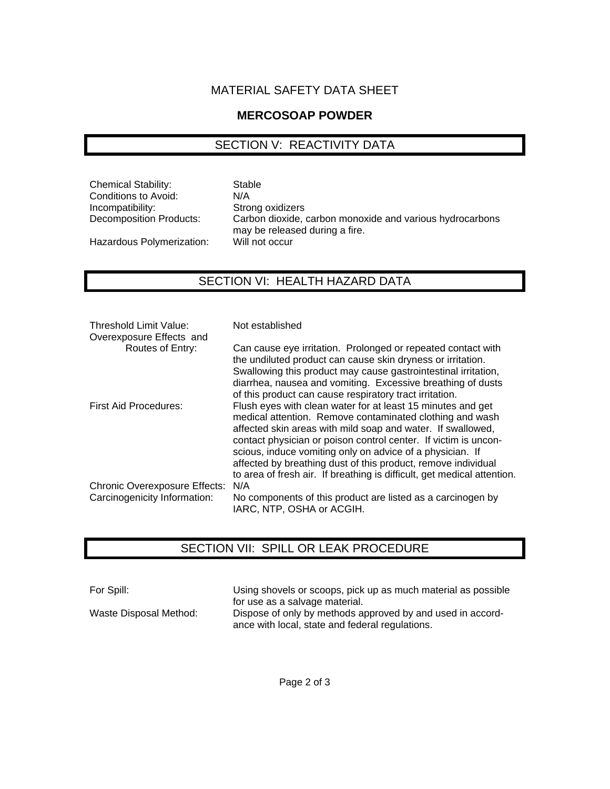### MATERIAL SAFETY DATA SHEET

### **MERCOSOAP POWDER**

## SECTION V: REACTIVITY DATA

Chemical Stability: Stable Conditions to Avoid: N/A Incompatibility: Strong oxidizers

Hazardous Polymerization:

Decomposition Products: Carbon dioxide, carbon monoxide and various hydrocarbons may be released during a fire.

## SECTION VI: HEALTH HAZARD DATA

| Threshold Limit Value:<br>Overexposure Effects and | Not established                                                                                                                                                                                                                                                                                                                                                                                                                                                    |
|----------------------------------------------------|--------------------------------------------------------------------------------------------------------------------------------------------------------------------------------------------------------------------------------------------------------------------------------------------------------------------------------------------------------------------------------------------------------------------------------------------------------------------|
| Routes of Entry:                                   | Can cause eye irritation. Prolonged or repeated contact with<br>the undiluted product can cause skin dryness or irritation.                                                                                                                                                                                                                                                                                                                                        |
|                                                    | Swallowing this product may cause gastrointestinal irritation,<br>diarrhea, nausea and vomiting. Excessive breathing of dusts<br>of this product can cause respiratory tract irritation.                                                                                                                                                                                                                                                                           |
| First Aid Procedures:                              | Flush eyes with clean water for at least 15 minutes and get<br>medical attention. Remove contaminated clothing and wash<br>affected skin areas with mild soap and water. If swallowed,<br>contact physician or poison control center. If victim is uncon-<br>scious, induce vomiting only on advice of a physician. If<br>affected by breathing dust of this product, remove individual<br>to area of fresh air. If breathing is difficult, get medical attention. |
| <b>Chronic Overexposure Effects:</b>               | N/A                                                                                                                                                                                                                                                                                                                                                                                                                                                                |
| Carcinogenicity Information:                       | No components of this product are listed as a carcinogen by<br>IARC, NTP, OSHA or ACGIH.                                                                                                                                                                                                                                                                                                                                                                           |

### SECTION VII: SPILL OR LEAK PROCEDURE

For Spill: Using shovels or scoops, pick up as much material as possible for use as a salvage material. Waste Disposal Method: Dispose of only by methods approved by and used in accordance with local, state and federal regulations.